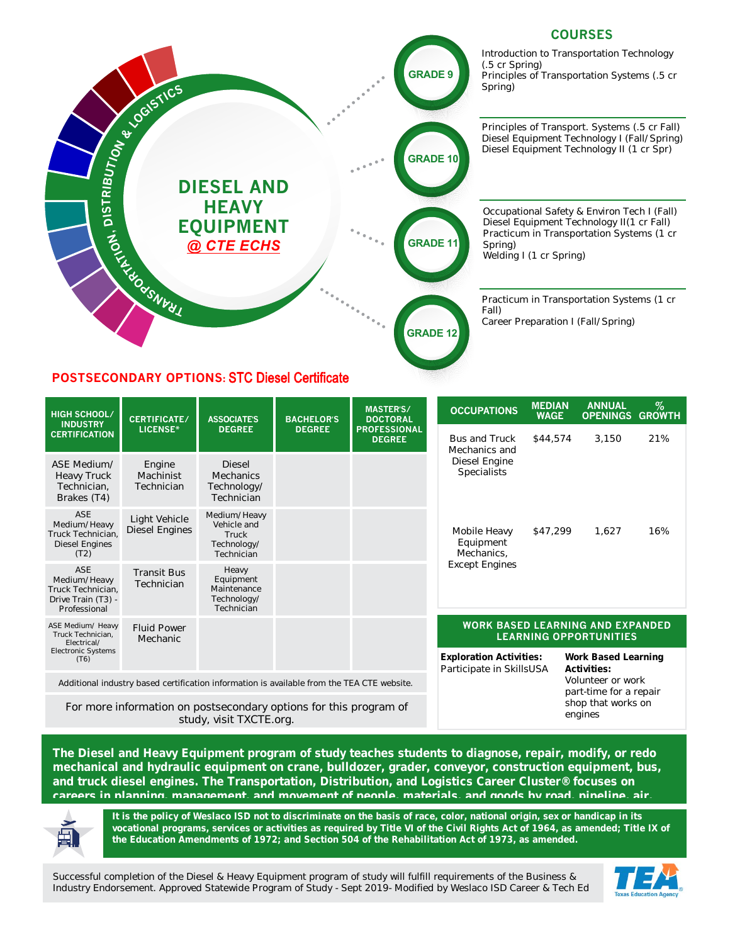

**The Diesel and Heavy Equipment program of study teaches students to diagnose, repair, modify, or redo mechanical and hydraulic equipment on crane, bulldozer, grader, conveyor, construction equipment, bus, and truck diesel engines. The Transportation, Distribution, and Logistics Career Cluster® focuses on careers in planning, management, and movement of people, materials, and goods by road, pipeline, air,** 



It is the policy of Weslaco ISD not to discriminate on the basis of race, color, national origin, sex or handicap in its vocational programs, services or activities as required by Title VI of the Civil Rights Act of 1964, as amended; Title IX of **the Education Amendments of 1972; and Section 504 of the Rehabilitation Act of 1973, as amended.**

Successful completion of the Diesel & Heavy Equipment program of study will fulfill requirements of the Business & Industry Endorsement. Approved Statewide Program of Study - Sept 2019- Modified by Weslaco ISD Career & Tech Ed